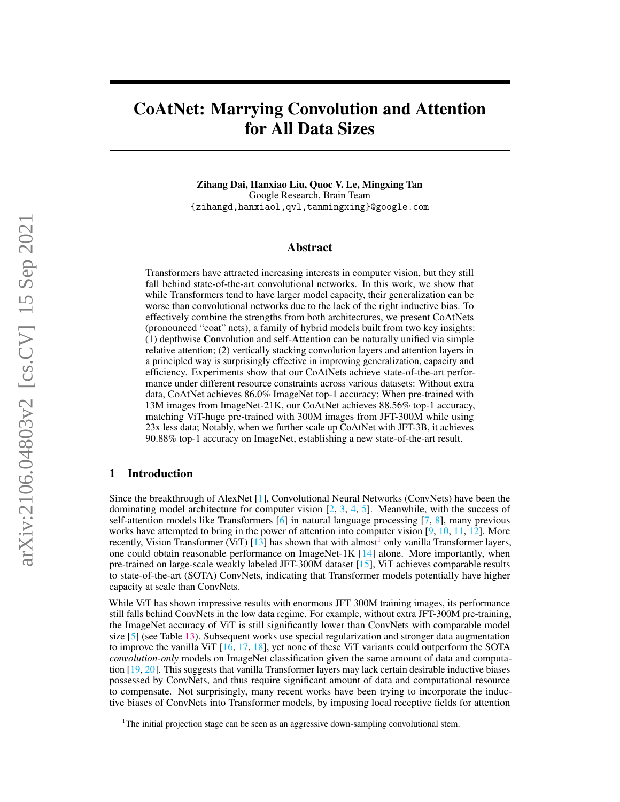# CoAtNet: Marrying Convolution and Attention for All Data Sizes

Zihang Dai, Hanxiao Liu, Quoc V. Le, Mingxing Tan Google Research, Brain Team {zihangd,hanxiaol,qvl,tanmingxing}@google.com

## Abstract

Transformers have attracted increasing interests in computer vision, but they still fall behind state-of-the-art convolutional networks. In this work, we show that while Transformers tend to have larger model capacity, their generalization can be worse than convolutional networks due to the lack of the right inductive bias. To effectively combine the strengths from both architectures, we present CoAtNets (pronounced "coat" nets), a family of hybrid models built from two key insights: (1) depthwise Convolution and self-Attention can be naturally unified via simple relative attention; (2) vertically stacking convolution layers and attention layers in a principled way is surprisingly effective in improving generalization, capacity and efficiency. Experiments show that our CoAtNets achieve state-of-the-art performance under different resource constraints across various datasets: Without extra data, CoAtNet achieves 86.0% ImageNet top-1 accuracy; When pre-trained with 13M images from ImageNet-21K, our CoAtNet achieves 88.56% top-1 accuracy, matching ViT-huge pre-trained with 300M images from JFT-300M while using 23x less data; Notably, when we further scale up CoAtNet with JFT-3B, it achieves 90.88% top-1 accuracy on ImageNet, establishing a new state-of-the-art result.

# 1 Introduction

Since the breakthrough of AlexNet [\[1\]](#page-10-0), Convolutional Neural Networks (ConvNets) have been the dominating model architecture for computer vision  $[2, 3, 4, 5]$  $[2, 3, 4, 5]$  $[2, 3, 4, 5]$  $[2, 3, 4, 5]$  $[2, 3, 4, 5]$  $[2, 3, 4, 5]$  $[2, 3, 4, 5]$ . Meanwhile, with the success of self-attention models like Transformers  $[6]$  in natural language processing  $[7, 8]$  $[7, 8]$  $[7, 8]$ , many previous works have attempted to bring in the power of attention into computer vision  $[9, 10, 11, 12]$  $[9, 10, 11, 12]$  $[9, 10, 11, 12]$  $[9, 10, 11, 12]$  $[9, 10, 11, 12]$  $[9, 10, 11, 12]$  $[9, 10, 11, 12]$ . More recently, Vision Transformer (ViT)  $[13]$  has shown that with almost<sup>[1](#page-0-0)</sup> only vanilla Transformer layers, one could obtain reasonable performance on ImageNet-1K [\[14\]](#page-10-13) alone. More importantly, when pre-trained on large-scale weakly labeled JFT-300M dataset [\[15\]](#page-10-14), ViT achieves comparable results to state-of-the-art (SOTA) ConvNets, indicating that Transformer models potentially have higher capacity at scale than ConvNets.

While ViT has shown impressive results with enormous JFT 300M training images, its performance still falls behind ConvNets in the low data regime. For example, without extra JFT-300M pre-training, the ImageNet accuracy of ViT is still significantly lower than ConvNets with comparable model size [\[5\]](#page-10-4) (see Table [13\)](#page-16-0). Subsequent works use special regularization and stronger data augmentation to improve the vanilla ViT  $[16, 17, 18]$  $[16, 17, 18]$  $[16, 17, 18]$  $[16, 17, 18]$  $[16, 17, 18]$ , yet none of these ViT variants could outperform the SOTA *convolution-only* models on ImageNet classification given the same amount of data and computation [\[19,](#page-11-0) [20\]](#page-11-1). This suggests that vanilla Transformer layers may lack certain desirable inductive biases possessed by ConvNets, and thus require significant amount of data and computational resource to compensate. Not surprisingly, many recent works have been trying to incorporate the inductive biases of ConvNets into Transformer models, by imposing local receptive fields for attention

<span id="page-0-0"></span><sup>&</sup>lt;sup>1</sup>The initial projection stage can be seen as an aggressive down-sampling convolutional stem.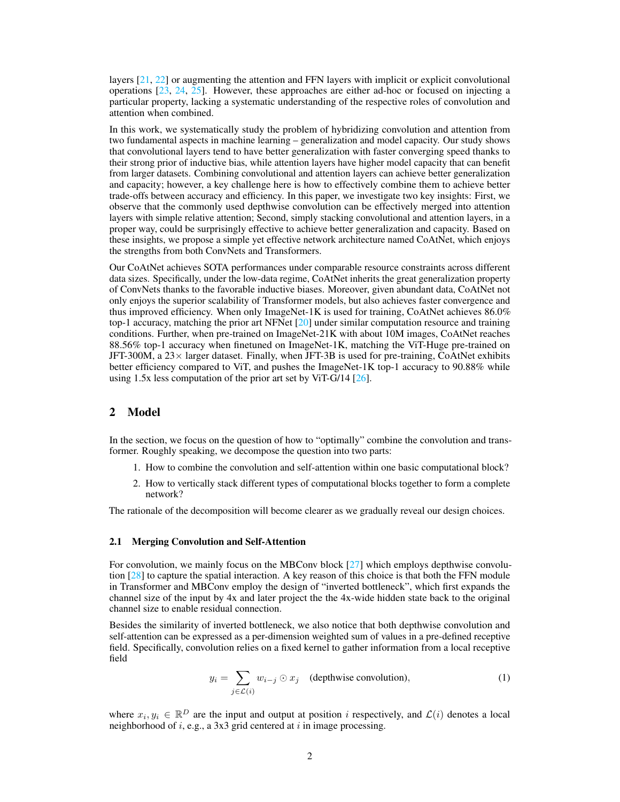layers  $[21, 22]$  $[21, 22]$  $[21, 22]$  or augmenting the attention and FFN layers with implicit or explicit convolutional operations [\[23,](#page-11-4) [24,](#page-11-5) [25\]](#page-11-6). However, these approaches are either ad-hoc or focused on injecting a particular property, lacking a systematic understanding of the respective roles of convolution and attention when combined.

In this work, we systematically study the problem of hybridizing convolution and attention from two fundamental aspects in machine learning – generalization and model capacity. Our study shows that convolutional layers tend to have better generalization with faster converging speed thanks to their strong prior of inductive bias, while attention layers have higher model capacity that can benefit from larger datasets. Combining convolutional and attention layers can achieve better generalization and capacity; however, a key challenge here is how to effectively combine them to achieve better trade-offs between accuracy and efficiency. In this paper, we investigate two key insights: First, we observe that the commonly used depthwise convolution can be effectively merged into attention layers with simple relative attention; Second, simply stacking convolutional and attention layers, in a proper way, could be surprisingly effective to achieve better generalization and capacity. Based on these insights, we propose a simple yet effective network architecture named CoAtNet, which enjoys the strengths from both ConvNets and Transformers.

Our CoAtNet achieves SOTA performances under comparable resource constraints across different data sizes. Specifically, under the low-data regime, CoAtNet inherits the great generalization property of ConvNets thanks to the favorable inductive biases. Moreover, given abundant data, CoAtNet not only enjoys the superior scalability of Transformer models, but also achieves faster convergence and thus improved efficiency. When only ImageNet-1K is used for training, CoAtNet achieves 86.0% top-1 accuracy, matching the prior art NFNet  $[20]$  under similar computation resource and training conditions. Further, when pre-trained on ImageNet-21K with about 10M images, CoAtNet reaches 88.56% top-1 accuracy when finetuned on ImageNet-1K, matching the ViT-Huge pre-trained on JFT-300M, a  $23 \times$  larger dataset. Finally, when JFT-3B is used for pre-training, CoAtNet exhibits better efficiency compared to ViT, and pushes the ImageNet-1K top-1 accuracy to 90.88% while using 1.5x less computation of the prior art set by ViT-G/14 [\[26\]](#page-11-7).

# <span id="page-1-1"></span>2 Model

In the section, we focus on the question of how to "optimally" combine the convolution and transformer. Roughly speaking, we decompose the question into two parts:

- 1. How to combine the convolution and self-attention within one basic computational block?
- 2. How to vertically stack different types of computational blocks together to form a complete network?

The rationale of the decomposition will become clearer as we gradually reveal our design choices.

#### 2.1 Merging Convolution and Self-Attention

For convolution, we mainly focus on the MBConv block [\[27\]](#page-11-8) which employs depthwise convolution  $[28]$  to capture the spatial interaction. A key reason of this choice is that both the FFN module in Transformer and MBConv employ the design of "inverted bottleneck", which first expands the channel size of the input by 4x and later project the the 4x-wide hidden state back to the original channel size to enable residual connection.

<span id="page-1-0"></span>Besides the similarity of inverted bottleneck, we also notice that both depthwise convolution and self-attention can be expressed as a per-dimension weighted sum of values in a pre-defined receptive field. Specifically, convolution relies on a fixed kernel to gather information from a local receptive field

$$
y_i = \sum_{j \in \mathcal{L}(i)} w_{i-j} \odot x_j \quad \text{(depthwise convolution)},\tag{1}
$$

where  $x_i, y_i \in \mathbb{R}^D$  are the input and output at position i respectively, and  $\mathcal{L}(i)$  denotes a local neighborhood of  $i$ , e.g., a 3x3 grid centered at  $i$  in image processing.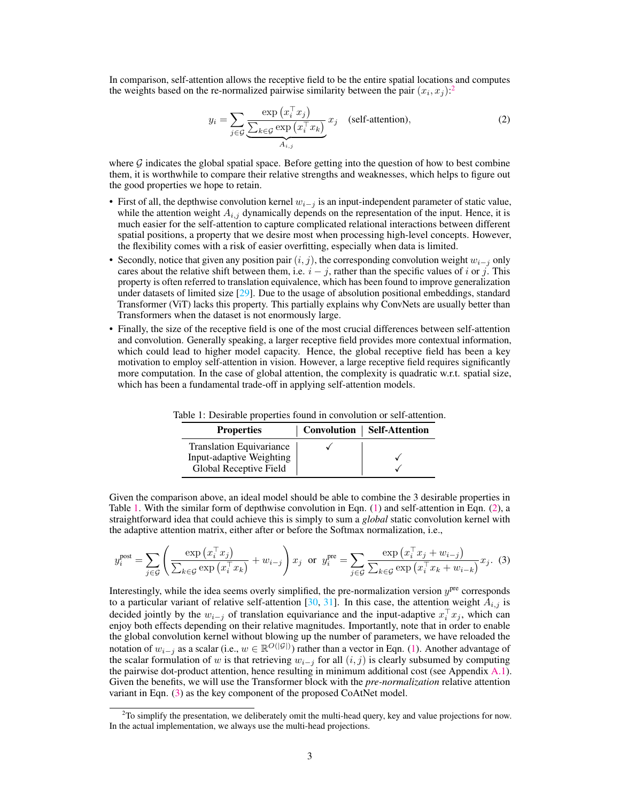In comparison, self-attention allows the receptive field to be the entire spatial locations and computes the weights based on the re-normalized pairwise similarity between the pair  $(x_i, x_j)$ .<sup>[2](#page-2-0)</sup>

<span id="page-2-2"></span>
$$
y_i = \sum_{j \in \mathcal{G}} \frac{\exp(x_i^{\top} x_j)}{\sum_{k \in \mathcal{G}} \exp(x_i^{\top} x_k)} x_j \quad \text{(self-attention)},\tag{2}
$$

where  $G$  indicates the global spatial space. Before getting into the question of how to best combine them, it is worthwhile to compare their relative strengths and weaknesses, which helps to figure out the good properties we hope to retain.

- First of all, the depthwise convolution kernel  $w_{i-j}$  is an input-independent parameter of static value, while the attention weight  $A_{i,j}$  dynamically depends on the representation of the input. Hence, it is much easier for the self-attention to capture complicated relational interactions between different spatial positions, a property that we desire most when processing high-level concepts. However, the flexibility comes with a risk of easier overfitting, especially when data is limited.
- Secondly, notice that given any position pair  $(i, j)$ , the corresponding convolution weight  $w_{i-j}$  only cares about the relative shift between them, i.e.  $i - j$ , rather than the specific values of i or j. This property is often referred to translation equivalence, which has been found to improve generalization under datasets of limited size [\[29\]](#page-11-10). Due to the usage of absolution positional embeddings, standard Transformer (ViT) lacks this property. This partially explains why ConvNets are usually better than Transformers when the dataset is not enormously large.
- Finally, the size of the receptive field is one of the most crucial differences between self-attention and convolution. Generally speaking, a larger receptive field provides more contextual information, which could lead to higher model capacity. Hence, the global receptive field has been a key motivation to employ self-attention in vision. However, a large receptive field requires significantly more computation. In the case of global attention, the complexity is quadratic w.r.t. spatial size, which has been a fundamental trade-off in applying self-attention models.

<span id="page-2-3"></span>

| <b>Properties</b>               | Convolution   Self-Attention |
|---------------------------------|------------------------------|
| <b>Translation Equivariance</b> |                              |
| Input-adaptive Weighting        |                              |
| Global Receptive Field          |                              |

<span id="page-2-1"></span>Table 1: Desirable properties found in convolution or self-attention.

Given the comparison above, an ideal model should be able to combine the 3 desirable properties in Table [1.](#page-2-1) With the similar form of depthwise convolution in Eqn. [\(1\)](#page-1-0) and self-attention in Eqn. [\(2\)](#page-2-2), a straightforward idea that could achieve this is simply to sum a *global* static convolution kernel with the adaptive attention matrix, either after or before the Softmax normalization, i.e.,

$$
y_i^{\text{post}} = \sum_{j \in \mathcal{G}} \left( \frac{\exp\left(x_i^\top x_j\right)}{\sum_{k \in \mathcal{G}} \exp\left(x_i^\top x_k\right)} + w_{i-j} \right) x_j \text{ or } y_i^{\text{pre}} = \sum_{j \in \mathcal{G}} \frac{\exp\left(x_i^\top x_j + w_{i-j}\right)}{\sum_{k \in \mathcal{G}} \exp\left(x_i^\top x_k + w_{i-k}\right)} x_j. \tag{3}
$$

Interestingly, while the idea seems overly simplified, the pre-normalization version  $y<sup>pre</sup>$  corresponds to a particular variant of relative self-attention [\[30,](#page-11-11) [31\]](#page-11-12). In this case, the attention weight  $A_{i,j}$  is decided jointly by the  $w_{i-j}$  of translation equivariance and the input-adaptive  $x_i^{\top} x_j$ , which can enjoy both effects depending on their relative magnitudes. Importantly, note that in order to enable the global convolution kernel without blowing up the number of parameters, we have reloaded the notation of  $w_{i-j}$  as a scalar (i.e.,  $w \in \mathbb{R}^{O(|\mathcal{G}|)}$ ) rather than a vector in Eqn. [\(1\)](#page-1-0). Another advantage of the scalar formulation of w is that retrieving  $w_{i-j}$  for all  $(i, j)$  is clearly subsumed by computing the pairwise dot-product attention, hence resulting in minimum additional cost (see Appendix [A.1\)](#page-13-0). Given the benefits, we will use the Transformer block with the *pre-normalization* relative attention variant in Eqn. [\(3\)](#page-2-3) as the key component of the proposed CoAtNet model.

<span id="page-2-0"></span> $2$ To simplify the presentation, we deliberately omit the multi-head query, key and value projections for now. In the actual implementation, we always use the multi-head projections.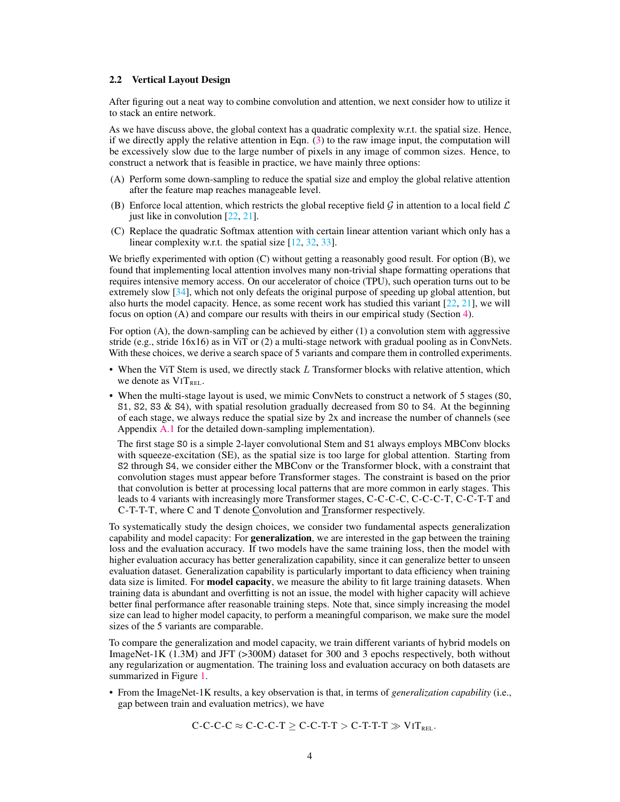#### 2.2 Vertical Layout Design

After figuring out a neat way to combine convolution and attention, we next consider how to utilize it to stack an entire network.

As we have discuss above, the global context has a quadratic complexity w.r.t. the spatial size. Hence, if we directly apply the relative attention in Eqn. [\(3\)](#page-2-3) to the raw image input, the computation will be excessively slow due to the large number of pixels in any image of common sizes. Hence, to construct a network that is feasible in practice, we have mainly three options:

- (A) Perform some down-sampling to reduce the spatial size and employ the global relative attention after the feature map reaches manageable level.
- (B) Enforce local attention, which restricts the global receptive field  $\mathcal G$  in attention to a local field  $\mathcal L$ just like in convolution [\[22,](#page-11-3) [21\]](#page-11-2).
- (C) Replace the quadratic Softmax attention with certain linear attention variant which only has a linear complexity w.r.t. the spatial size [\[12,](#page-10-11) [32,](#page-11-13) [33\]](#page-11-14).

We briefly experimented with option (C) without getting a reasonably good result. For option (B), we found that implementing local attention involves many non-trivial shape formatting operations that requires intensive memory access. On our accelerator of choice (TPU), such operation turns out to be extremely slow [\[34\]](#page-11-15), which not only defeats the original purpose of speeding up global attention, but also hurts the model capacity. Hence, as some recent work has studied this variant  $[22, 21]$  $[22, 21]$  $[22, 21]$ , we will focus on option (A) and compare our results with theirs in our empirical study (Section [4\)](#page-5-0).

For option (A), the down-sampling can be achieved by either (1) a convolution stem with aggressive stride (e.g., stride  $16x16$ ) as in ViT or (2) a multi-stage network with gradual pooling as in ConvNets. With these choices, we derive a search space of 5 variants and compare them in controlled experiments.

- When the ViT Stem is used, we directly stack L Transformer blocks with relative attention, which we denote as  $ViT_{REL}$ .
- When the multi-stage layout is used, we mimic ConvNets to construct a network of 5 stages (S0, S1, S2, S3 & S4), with spatial resolution gradually decreased from S0 to S4. At the beginning of each stage, we always reduce the spatial size by 2x and increase the number of channels (see Appendix [A.1](#page-13-0) for the detailed down-sampling implementation).

The first stage S0 is a simple 2-layer convolutional Stem and S1 always employs MBConv blocks with squeeze-excitation (SE), as the spatial size is too large for global attention. Starting from S2 through S4, we consider either the MBConv or the Transformer block, with a constraint that convolution stages must appear before Transformer stages. The constraint is based on the prior that convolution is better at processing local patterns that are more common in early stages. This leads to 4 variants with increasingly more Transformer stages, C-C-C-C, C-C-C-T, C-C-T-T and C-T-T-T, where C and T denote Convolution and Transformer respectively.

To systematically study the design choices, we consider two fundamental aspects generalization capability and model capacity: For **generalization**, we are interested in the gap between the training loss and the evaluation accuracy. If two models have the same training loss, then the model with higher evaluation accuracy has better generalization capability, since it can generalize better to unseen evaluation dataset. Generalization capability is particularly important to data efficiency when training data size is limited. For **model capacity**, we measure the ability to fit large training datasets. When training data is abundant and overfitting is not an issue, the model with higher capacity will achieve better final performance after reasonable training steps. Note that, since simply increasing the model size can lead to higher model capacity, to perform a meaningful comparison, we make sure the model sizes of the 5 variants are comparable.

To compare the generalization and model capacity, we train different variants of hybrid models on ImageNet-1K (1.3M) and JFT (>300M) dataset for 300 and 3 epochs respectively, both without any regularization or augmentation. The training loss and evaluation accuracy on both datasets are summarized in Figure [1.](#page-4-0)

• From the ImageNet-1K results, a key observation is that, in terms of *generalization capability* (i.e., gap between train and evaluation metrics), we have

$$
C\text{-}C\text{-}C\approx C\text{-}C\text{-}C\text{-}T\geq C\text{-}C\text{-}T\text{-}T>C\text{-}T\text{-}T\text{-}T\gg \text{ViT}_{\text{REL}}.
$$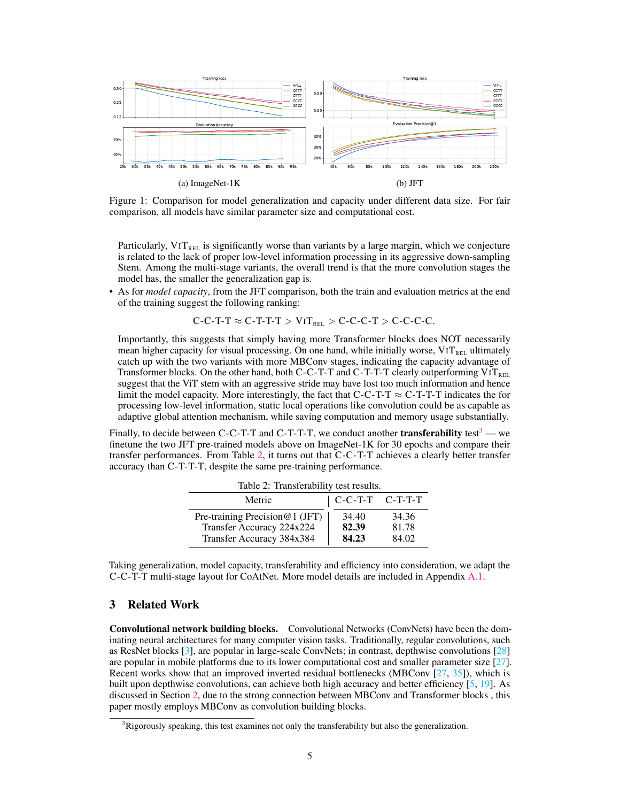<span id="page-4-0"></span>

Figure 1: Comparison for model generalization and capacity under different data size. For fair comparison, all models have similar parameter size and computational cost.

Particularly,  $VIT_{REL}$  is significantly worse than variants by a large margin, which we conjecture is related to the lack of proper low-level information processing in its aggressive down-sampling Stem. Among the multi-stage variants, the overall trend is that the more convolution stages the model has, the smaller the generalization gap is.

• As for *model capacity*, from the JFT comparison, both the train and evaluation metrics at the end of the training suggest the following ranking:

$$
C-C-T-T \approx C-T-T-T > VIT_{REL} > C-C-T > C-C-C.
$$

Importantly, this suggests that simply having more Transformer blocks does NOT necessarily mean higher capacity for visual processing. On one hand, while initially worse,  $ViT_{REL}$  ultimately catch up with the two variants with more MBConv stages, indicating the capacity advantage of Transformer blocks. On the other hand, both C-C-T-T and C-T-T-T clearly outperforming  $ViT_{REL}$ suggest that the ViT stem with an aggressive stride may have lost too much information and hence limit the model capacity. More interestingly, the fact that C-C-T-T  $\approx$  C-T-T-T indicates the for processing low-level information, static local operations like convolution could be as capable as adaptive global attention mechanism, while saving computation and memory usage substantially.

<span id="page-4-2"></span>Finally, to decide between C-C-T-T and C-T-T-T, we conduct another **transferability** test<sup>[3](#page-4-1)</sup> — we finetune the two JFT pre-trained models above on ImageNet-1K for 30 epochs and compare their transfer performances. From Table [2,](#page-4-2) it turns out that C-C-T-T achieves a clearly better transfer accuracy than C-T-T-T, despite the same pre-training performance.

| rabic $\mathbb{Z}$ . Transicrability test results.                                       |                               |                         |  |  |  |
|------------------------------------------------------------------------------------------|-------------------------------|-------------------------|--|--|--|
| Metric                                                                                   | $\mid$ C-C-T-T $\mid$ C-T-T-T |                         |  |  |  |
| Pre-training Precision@1 (JFT)<br>Transfer Accuracy 224x224<br>Transfer Accuracy 384x384 | 34.40<br>82.39<br>84.23       | 34.36<br>81.78<br>84.02 |  |  |  |

Table 2: Transferability test results

Taking generalization, model capacity, transferability and efficiency into consideration, we adapt the C-C-T-T multi-stage layout for CoAtNet. More model details are included in Appendix [A.1.](#page-13-0)

# 3 Related Work

Convolutional network building blocks. Convolutional Networks (ConvNets) have been the dominating neural architectures for many computer vision tasks. Traditionally, regular convolutions, such as ResNet blocks [\[3\]](#page-10-2), are popular in large-scale ConvNets; in contrast, depthwise convolutions [\[28\]](#page-11-9) are popular in mobile platforms due to its lower computational cost and smaller parameter size [\[27\]](#page-11-8). Recent works show that an improved inverted residual bottlenecks (MBConv [\[27,](#page-11-8) [35\]](#page-11-16)), which is built upon depthwise convolutions, can achieve both high accuracy and better efficiency [\[5,](#page-10-4) [19\]](#page-11-0). As discussed in Section [2,](#page-1-1) due to the strong connection between MBConv and Transformer blocks , this paper mostly employs MBConv as convolution building blocks.

<span id="page-4-1"></span> $3Ri$  Rigorously speaking, this test examines not only the transferability but also the generalization.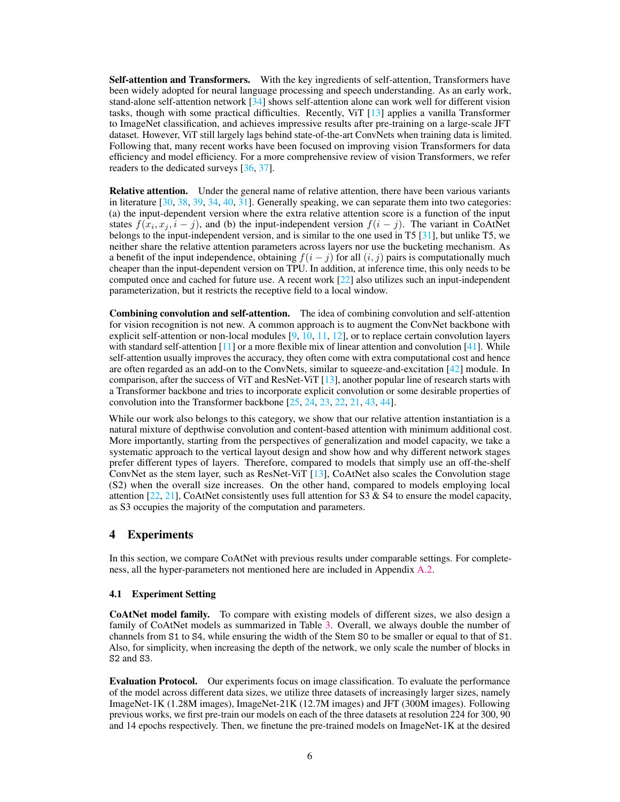Self-attention and Transformers. With the key ingredients of self-attention, Transformers have been widely adopted for neural language processing and speech understanding. As an early work, stand-alone self-attention network [\[34\]](#page-11-15) shows self-attention alone can work well for different vision tasks, though with some practical difficulties. Recently, ViT [\[13\]](#page-10-12) applies a vanilla Transformer to ImageNet classification, and achieves impressive results after pre-training on a large-scale JFT dataset. However, ViT still largely lags behind state-of-the-art ConvNets when training data is limited. Following that, many recent works have been focused on improving vision Transformers for data efficiency and model efficiency. For a more comprehensive review of vision Transformers, we refer readers to the dedicated surveys [\[36,](#page-11-17) [37\]](#page-11-18).

Relative attention. Under the general name of relative attention, there have been various variants in literature [\[30,](#page-11-11) [38,](#page-11-19) [39,](#page-12-0) [34,](#page-11-15) [40,](#page-12-1) [31\]](#page-11-12). Generally speaking, we can separate them into two categories: (a) the input-dependent version where the extra relative attention score is a function of the input states  $f(x_i, x_j, i - j)$ , and (b) the input-independent version  $f(i - j)$ . The variant in CoAtNet belongs to the input-independent version, and is similar to the one used in T5 [\[31\]](#page-11-12), but unlike T5, we neither share the relative attention parameters across layers nor use the bucketing mechanism. As a benefit of the input independence, obtaining  $f(i - j)$  for all  $(i, j)$  pairs is computationally much cheaper than the input-dependent version on TPU. In addition, at inference time, this only needs to be computed once and cached for future use. A recent work [\[22\]](#page-11-3) also utilizes such an input-independent parameterization, but it restricts the receptive field to a local window.

Combining convolution and self-attention. The idea of combining convolution and self-attention for vision recognition is not new. A common approach is to augment the ConvNet backbone with explicit self-attention or non-local modules  $[9, 10, 11, 12]$  $[9, 10, 11, 12]$  $[9, 10, 11, 12]$  $[9, 10, 11, 12]$  $[9, 10, 11, 12]$  $[9, 10, 11, 12]$  $[9, 10, 11, 12]$ , or to replace certain convolution layers with standard self-attention  $[11]$  or a more flexible mix of linear attention and convolution  $[41]$ . While self-attention usually improves the accuracy, they often come with extra computational cost and hence are often regarded as an add-on to the ConvNets, similar to squeeze-and-excitation [\[42\]](#page-12-3) module. In comparison, after the success of ViT and ResNet-ViT [\[13\]](#page-10-12), another popular line of research starts with a Transformer backbone and tries to incorporate explicit convolution or some desirable properties of convolution into the Transformer backbone [\[25,](#page-11-6) [24,](#page-11-5) [23,](#page-11-4) [22,](#page-11-3) [21,](#page-11-2) [43,](#page-12-4) [44\]](#page-12-5).

While our work also belongs to this category, we show that our relative attention instantiation is a natural mixture of depthwise convolution and content-based attention with minimum additional cost. More importantly, starting from the perspectives of generalization and model capacity, we take a systematic approach to the vertical layout design and show how and why different network stages prefer different types of layers. Therefore, compared to models that simply use an off-the-shelf ConvNet as the stem layer, such as ResNet-ViT [\[13\]](#page-10-12), CoAtNet also scales the Convolution stage (S2) when the overall size increases. On the other hand, compared to models employing local attention  $[22, 21]$  $[22, 21]$  $[22, 21]$ , CoAtNet consistently uses full attention for S3 & S4 to ensure the model capacity, as S3 occupies the majority of the computation and parameters.

# <span id="page-5-0"></span>4 Experiments

In this section, we compare CoAtNet with previous results under comparable settings. For completeness, all the hyper-parameters not mentioned here are included in Appendix [A.2.](#page-14-0)

## 4.1 Experiment Setting

CoAtNet model family. To compare with existing models of different sizes, we also design a family of CoAtNet models as summarized in Table [3.](#page-6-0) Overall, we always double the number of channels from S1 to S4, while ensuring the width of the Stem S0 to be smaller or equal to that of S1. Also, for simplicity, when increasing the depth of the network, we only scale the number of blocks in S2 and S3.

Evaluation Protocol. Our experiments focus on image classification. To evaluate the performance of the model across different data sizes, we utilize three datasets of increasingly larger sizes, namely ImageNet-1K (1.28M images), ImageNet-21K (12.7M images) and JFT (300M images). Following previous works, we first pre-train our models on each of the three datasets at resolution 224 for 300, 90 and 14 epochs respectively. Then, we finetune the pre-trained models on ImageNet-1K at the desired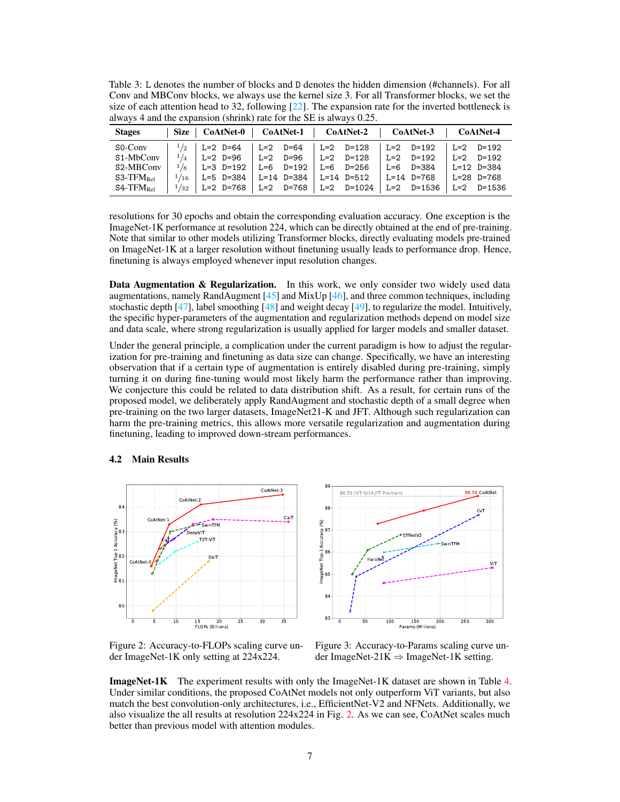<span id="page-6-0"></span>Table 3: L denotes the number of blocks and D denotes the hidden dimension (#channels). For all Conv and MBConv blocks, we always use the kernel size 3. For all Transformer blocks, we set the size of each attention head to 32, following  $[22]$ . The expansion rate for the inverted bottleneck is always 4 and the expansion (shrink) rate for the SE is always 0.25.

| <b>Stages</b>                                    | Size   CoAtNet-0   CoAtNet-1   CoAtNet-2   CoAtNet-3                                              |                       |  |                                                 | CoAtNet-4          |
|--------------------------------------------------|---------------------------------------------------------------------------------------------------|-----------------------|--|-------------------------------------------------|--------------------|
| $SO-Conv$                                        | $\vert$ <sup>1</sup> /2 $\vert$ L=2 D=64 $\vert$ L=2 D=64 $\vert$ L=2 D=128                       |                       |  | L=2 D=192   L=2 D=192                           |                    |
|                                                  | S1-MbConv $\vert$ <sup>1</sup> / <sub>4</sub> $\vert$ L=2 D=96 $\vert$ L=2 D=96 $\vert$ L=2 D=128 |                       |  | $\vert$ L=2 D=192                               | $L=2$ D=192        |
| S2-MBConv                                        | $1/8$   L=3 D=192 $\overline{ }$                                                                  | L=6 D=192   L=6 D=256 |  | L=6 D=384                                       | $L=12$ $D=384$     |
| $S3$ -TF $M_{\rm Rel}$                           | $1/16$   L=5 D=384   L=14 D=384   L=14 D=512                                                      |                       |  | $  L=14 \text{ D} = 768   L=28 \text{ D} = 768$ |                    |
| $\mathsf{S4}\text{-}\mathrm{TFM}_{\mathrm{Rel}}$ | $1/32$   L=2 D=768   L=2 D=768   L=2 D=1024                                                       |                       |  | L=2 D=1536                                      | $\vert$ L=2 D=1536 |

resolutions for 30 epochs and obtain the corresponding evaluation accuracy. One exception is the ImageNet-1K performance at resolution 224, which can be directly obtained at the end of pre-training. Note that similar to other models utilizing Transformer blocks, directly evaluating models pre-trained on ImageNet-1K at a larger resolution without finetuning usually leads to performance drop. Hence, finetuning is always employed whenever input resolution changes.

Data Augmentation & Regularization. In this work, we only consider two widely used data augmentations, namely RandAugment [\[45\]](#page-12-6) and MixUp [\[46\]](#page-12-7), and three common techniques, including stochastic depth  $[47]$ , label smoothing  $[48]$  and weight decay  $[49]$ , to regularize the model. Intuitively, the specific hyper-parameters of the augmentation and regularization methods depend on model size and data scale, where strong regularization is usually applied for larger models and smaller dataset.

Under the general principle, a complication under the current paradigm is how to adjust the regularization for pre-training and finetuning as data size can change. Specifically, we have an interesting observation that if a certain type of augmentation is entirely disabled during pre-training, simply turning it on during fine-tuning would most likely harm the performance rather than improving. We conjecture this could be related to data distribution shift. As a result, for certain runs of the proposed model, we deliberately apply RandAugment and stochastic depth of a small degree when pre-training on the two larger datasets, ImageNet21-K and JFT. Although such regularization can harm the pre-training metrics, this allows more versatile regularization and augmentation during finetuning, leading to improved down-stream performances.

#### 4.2 Main Results

<span id="page-6-1"></span>

89 $-$ 88.55 (VIT-H/14 JFT Pre-train) 88.56 CoAtNet 88 Cv  $(96)$ ImageNet Top-1 Accuracy (%) Accuracy (<br>87<br>87 EffNetV2 SwinTFM  $Top-1$ 86 HaloNe ViT i<br>N 85 84 83 0 50 100 150 200 250 300 Params (Millions)

Figure 2: Accuracy-to-FLOPs scaling curve under ImageNet-1K only setting at 224x224.

Figure 3: Accuracy-to-Params scaling curve under ImageNet-21K  $\Rightarrow$  ImageNet-1K setting.

ImageNet-1K The experiment results with only the ImageNet-1K dataset are shown in Table [4.](#page-7-0) Under similar conditions, the proposed CoAtNet models not only outperform ViT variants, but also match the best convolution-only architectures, i.e., EfficientNet-V2 and NFNets. Additionally, we also visualize the all results at resolution 224x224 in Fig. [2.](#page-6-1) As we can see, CoAtNet scales much better than previous model with attention modules.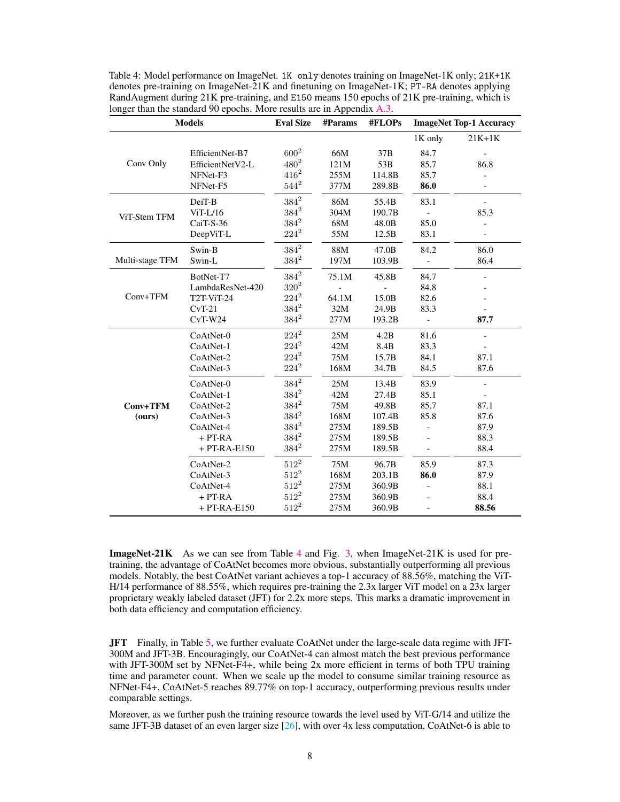| <b>Models</b>   |                  | <b>Eval Size</b> | #Params | #FLOPs |                          | <b>ImageNet Top-1 Accuracy</b> |
|-----------------|------------------|------------------|---------|--------|--------------------------|--------------------------------|
|                 |                  |                  |         |        | 1K only                  | $21K+1K$                       |
|                 | EfficientNet-B7  | $600^{2}$        | 66M     | 37B    | 84.7                     |                                |
| Conv Only       | EfficientNetV2-L | $480^{2}$        | 121M    | 53B    | 85.7                     | 86.8                           |
|                 | NFNet-F3         | $416^2$          | 255M    | 114.8B | 85.7                     |                                |
|                 | NFNet-F5         | $544^2$          | 377M    | 289.8B | 86.0                     |                                |
|                 | DeiT-B           | $384^2\,$        | 86M     | 55.4B  | 83.1                     |                                |
| ViT-Stem TFM    | $ViT-L/16$       | $384^2$          | 304M    | 190.7B |                          | 85.3                           |
|                 | CaiT-S-36        | $384^2\,$        | 68M     | 48.0B  | 85.0                     |                                |
|                 | DeepViT-L        | $224^2$          | 55M     | 12.5B  | 83.1                     |                                |
|                 | Swin-B           | $384^2$          | 88M     | 47.0B  | 84.2                     | 86.0                           |
| Multi-stage TFM | Swin-L           | $384^2$          | 197M    | 103.9B | $\blacksquare$           | 86.4                           |
|                 | BotNet-T7        | $384^2\,$        | 75.1M   | 45.8B  | 84.7                     |                                |
|                 | LambdaResNet-420 | $320^{2}$        |         |        | 84.8                     |                                |
| $Conv+TFM$      | T2T-ViT-24       | $224^2$          | 64.1M   | 15.0B  | 82.6                     |                                |
|                 | $CvT-21$         | $384^2$          | 32M     | 24.9B  | 83.3                     |                                |
|                 | $CvT-W24$        | $384^2$          | 277M    | 193.2B | $\overline{\phantom{a}}$ | 87.7                           |
|                 | CoAtNet-0        | $224^2$          | 25M     | 4.2B   | 81.6                     |                                |
|                 | CoAtNet-1        | $224^2$          | 42M     | 8.4B   | 83.3                     |                                |
|                 | CoAtNet-2        | $224^2$          | 75M     | 15.7B  | 84.1                     | 87.1                           |
|                 | CoAtNet-3        | $224^2$          | 168M    | 34.7B  | 84.5                     | 87.6                           |
|                 | CoAtNet-0        | $384^2$          | 25M     | 13.4B  | 83.9                     |                                |
|                 | CoAtNet-1        | $384^2$          | 42M     | 27.4B  | 85.1                     |                                |
| Conv+TFM        | CoAtNet-2        | $384^2$          | 75M     | 49.8B  | 85.7                     | 87.1                           |
| (ours)          | CoAtNet-3        | $384^2$          | 168M    | 107.4B | 85.8                     | 87.6                           |
|                 | CoAtNet-4        | $384^2$          | 275M    | 189.5B |                          | 87.9                           |
|                 | $+ PT-RA$        | $384^2\,$        | 275M    | 189.5B |                          | 88.3                           |
|                 | $+ PT-RA-E150$   | $384^2$          | 275M    | 189.5B |                          | 88.4                           |
|                 | CoAtNet-2        | $512^2\,$        | 75M     | 96.7B  | 85.9                     | 87.3                           |
|                 | CoAtNet-3        | $512^2$          | 168M    | 203.1B | 86.0                     | 87.9                           |
|                 | CoAtNet-4        | $512^2$          | 275M    | 360.9B |                          | 88.1                           |
|                 | $+ PT-RA$        | $512^2$          | 275M    | 360.9B |                          | 88.4                           |
|                 | $+ PT-RA-E150$   | $512^2$          | 275M    | 360.9B |                          | 88.56                          |

<span id="page-7-0"></span>Table 4: Model performance on ImageNet. 1K only denotes training on ImageNet-1K only; 21K+1K denotes pre-training on ImageNet-21K and finetuning on ImageNet-1K; PT-RA denotes applying RandAugment during 21K pre-training, and E150 means 150 epochs of 21K pre-training, which is longer than the standard 90 epochs. More results are in Appendix [A.3.](#page-15-0)

ImageNet-21K As we can see from Table [4](#page-7-0) and Fig. [3,](#page-6-1) when ImageNet-21K is used for pretraining, the advantage of CoAtNet becomes more obvious, substantially outperforming all previous models. Notably, the best CoAtNet variant achieves a top-1 accuracy of 88.56%, matching the ViT-H/14 performance of 88.55%, which requires pre-training the 2.3x larger ViT model on a 23x larger proprietary weakly labeled dataset (JFT) for 2.2x more steps. This marks a dramatic improvement in both data efficiency and computation efficiency.

JFT Finally, in Table [5,](#page-8-0) we further evaluate CoAtNet under the large-scale data regime with JFT-300M and JFT-3B. Encouragingly, our CoAtNet-4 can almost match the best previous performance with JFT-300M set by NFNet-F4+, while being 2x more efficient in terms of both TPU training time and parameter count. When we scale up the model to consume similar training resource as NFNet-F4+, CoAtNet-5 reaches 89.77% on top-1 accuracy, outperforming previous results under comparable settings.

Moreover, as we further push the training resource towards the level used by ViT-G/14 and utilize the same JFT-3B dataset of an even larger size  $[26]$ , with over 4x less computation, CoAtNet-6 is able to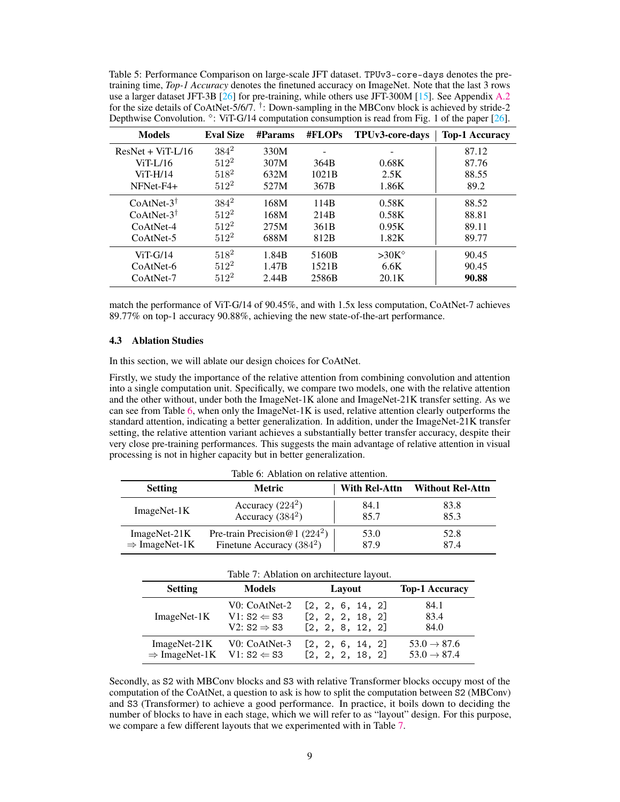<span id="page-8-0"></span>Table 5: Performance Comparison on large-scale JFT dataset. TPUv3-core-days denotes the pretraining time, *Top-1 Accuracy* denotes the finetuned accuracy on ImageNet. Note that the last 3 rows use a larger dataset JFT-3B  $[26]$  for pre-training, while others use JFT-300M  $[15]$ . See Appendix [A.2](#page-14-0) for the size details of CoAtNet-5/6/7. † : Down-sampling in the MBConv block is achieved by stride-2 Depthwise Convolution.  $\degree$ : ViT-G/14 computation consumption is read from Fig. 1 of the paper [\[26\]](#page-11-7).

| <b>Models</b>         | <b>Eval Size</b> | #Params | #FLOPs           | TPUv3-core-days | <b>Top-1 Accuracy</b> |
|-----------------------|------------------|---------|------------------|-----------------|-----------------------|
| $ResNet + ViT-L/16$   | $384^2$          | 330M    |                  |                 | 87.12                 |
| $ViT-L/16$            | $512^2$          | 307M    | 364B             | 0.68K           | 87.76                 |
| $ViT-H/14$            | $518^2$          | 632M    | 1021B            | 2.5K            | 88.55                 |
| NFNet-F4+             | $512^2$          | 527M    | 367B             | 1.86K           | 89.2                  |
| $CoAtNet-3†$          | $384^2$          | 168M    | 114B             | 0.58K           | 88.52                 |
| $CoAtNet-3^{\dagger}$ | $512^2$          | 168M    | 214 <sub>B</sub> | 0.58K           | 88.81                 |
| CoAtNet-4             | $512^2$          | 275M    | 361 <sub>B</sub> | 0.95K           | 89.11                 |
| $CoAtNet-5$           | $512^2$          | 688M    | 812B             | 1.82K           | 89.77                 |
| $ViT-G/14$            | $518^2$          | 1.84B   | 5160B            | $>30K^{\circ}$  | 90.45                 |
| CoAtNet-6             | $512^2$          | 1.47B   | 1521B            | 6.6K            | 90.45                 |
| CoAtNet-7             | $512^2$          | 2.44B   | 2586B            | 20.1K           | 90.88                 |

match the performance of ViT-G/14 of 90.45%, and with 1.5x less computation, CoAtNet-7 achieves 89.77% on top-1 accuracy 90.88%, achieving the new state-of-the-art performance.

#### <span id="page-8-3"></span>4.3 Ablation Studies

In this section, we will ablate our design choices for CoAtNet.

Firstly, we study the importance of the relative attention from combining convolution and attention into a single computation unit. Specifically, we compare two models, one with the relative attention and the other without, under both the ImageNet-1K alone and ImageNet-21K transfer setting. As we can see from Table [6,](#page-8-1) when only the ImageNet-1K is used, relative attention clearly outperforms the standard attention, indicating a better generalization. In addition, under the ImageNet-21K transfer setting, the relative attention variant achieves a substantially better transfer accuracy, despite their very close pre-training performances. This suggests the main advantage of relative attention in visual processing is not in higher capacity but in better generalization.

<span id="page-8-1"></span>

| Table 0. Abiation on relative attention. |                                   |               |                         |  |  |  |
|------------------------------------------|-----------------------------------|---------------|-------------------------|--|--|--|
| <b>Setting</b>                           | Metric                            | With Rel-Attn | <b>Without Rel-Attn</b> |  |  |  |
| $ImageNet-1K$                            | Accuracy $(224^2)$                | 84.1          | 83.8                    |  |  |  |
|                                          | Accuracy $(384^2)$                | 85.7          | 85.3                    |  |  |  |
| ImageNet-21K                             | Pre-train Precision @ 1 $(224^2)$ | 53.0          | 52.8                    |  |  |  |
| $\Rightarrow$ ImageNet-1K                | Finetune Accuracy $(384^2)$       | 87.9          | 87.4                    |  |  |  |

|  |  |  | Table 6: Ablation on relative attention. |  |
|--|--|--|------------------------------------------|--|
|--|--|--|------------------------------------------|--|

<span id="page-8-2"></span>

| Table 7: Ablation on architecture layout.        |                         |                  |                         |  |  |  |
|--------------------------------------------------|-------------------------|------------------|-------------------------|--|--|--|
| <b>Setting</b>                                   | <b>Models</b>           | Layout           | <b>Top-1 Accuracy</b>   |  |  |  |
| ImageNet-1K                                      | V0: CoAtNet-2           | [2, 2, 6, 14, 2] | 84.1                    |  |  |  |
|                                                  | $V1: S2 \Leftarrow S3$  | [2, 2, 2, 18, 2] | 83.4                    |  |  |  |
|                                                  | V2: $S2 \Rightarrow S3$ | [2, 2, 8, 12, 2] | 84.0                    |  |  |  |
| $ImageNet-21K$                                   | V0: CoAtNet-3           | [2, 2, 6, 14, 2] | $53.0 \rightarrow 87.6$ |  |  |  |
| $\Rightarrow$ ImageNet-1K V1: S2 $\Leftarrow$ S3 |                         | [2, 2, 2, 18, 2] | $53.0 \rightarrow 87.4$ |  |  |  |

Secondly, as S2 with MBConv blocks and S3 with relative Transformer blocks occupy most of the computation of the CoAtNet, a question to ask is how to split the computation between S2 (MBConv) and S3 (Transformer) to achieve a good performance. In practice, it boils down to deciding the number of blocks to have in each stage, which we will refer to as "layout" design. For this purpose, we compare a few different layouts that we experimented with in Table [7.](#page-8-2)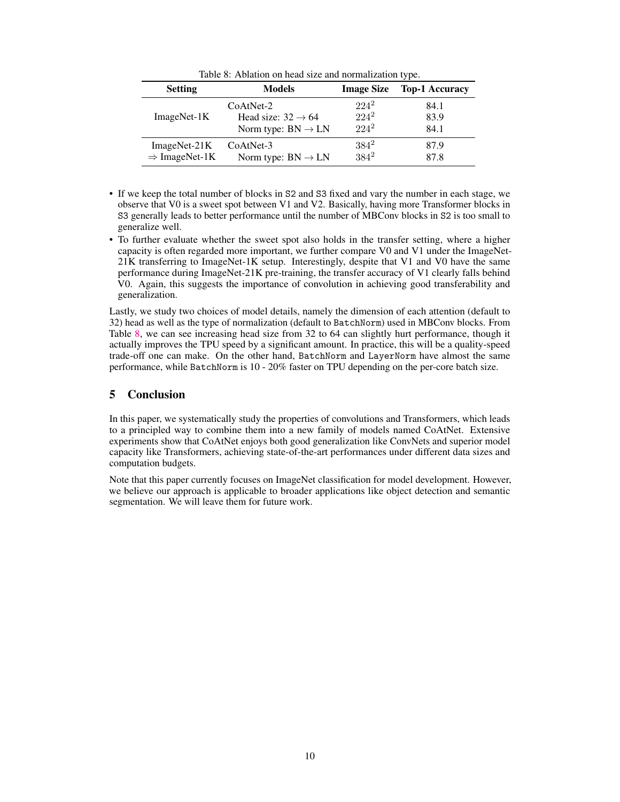Table 8: Ablation on head size and normalization type.

<span id="page-9-0"></span>

| <b>Setting</b>            | <b>Models</b>                  | <b>Image Size</b> | <b>Top-1 Accuracy</b> |
|---------------------------|--------------------------------|-------------------|-----------------------|
| $ImageNet-1K$             | CoAtNet-2                      | $224^2$           | 84.1                  |
|                           | Head size: $32 \rightarrow 64$ | $224^2$           | 83.9                  |
|                           | Norm type: $BN \rightarrow LN$ | $224^2$           | 84.1                  |
| $ImageNet-21K$            | $CoAtNet-3$                    | $384^2$           | 87.9                  |
| $\Rightarrow$ ImageNet-1K | Norm type: $BN \rightarrow LN$ | $384^2$           | 87.8                  |

- If we keep the total number of blocks in S2 and S3 fixed and vary the number in each stage, we observe that V0 is a sweet spot between V1 and V2. Basically, having more Transformer blocks in S3 generally leads to better performance until the number of MBConv blocks in S2 is too small to generalize well.
- To further evaluate whether the sweet spot also holds in the transfer setting, where a higher capacity is often regarded more important, we further compare V0 and V1 under the ImageNet-21K transferring to ImageNet-1K setup. Interestingly, despite that V1 and V0 have the same performance during ImageNet-21K pre-training, the transfer accuracy of V1 clearly falls behind V0. Again, this suggests the importance of convolution in achieving good transferability and generalization.

Lastly, we study two choices of model details, namely the dimension of each attention (default to 32) head as well as the type of normalization (default to BatchNorm) used in MBConv blocks. From Table [8,](#page-9-0) we can see increasing head size from 32 to 64 can slightly hurt performance, though it actually improves the TPU speed by a significant amount. In practice, this will be a quality-speed trade-off one can make. On the other hand, BatchNorm and LayerNorm have almost the same performance, while BatchNorm is 10 - 20% faster on TPU depending on the per-core batch size.

# 5 Conclusion

In this paper, we systematically study the properties of convolutions and Transformers, which leads to a principled way to combine them into a new family of models named CoAtNet. Extensive experiments show that CoAtNet enjoys both good generalization like ConvNets and superior model capacity like Transformers, achieving state-of-the-art performances under different data sizes and computation budgets.

Note that this paper currently focuses on ImageNet classification for model development. However, we believe our approach is applicable to broader applications like object detection and semantic segmentation. We will leave them for future work.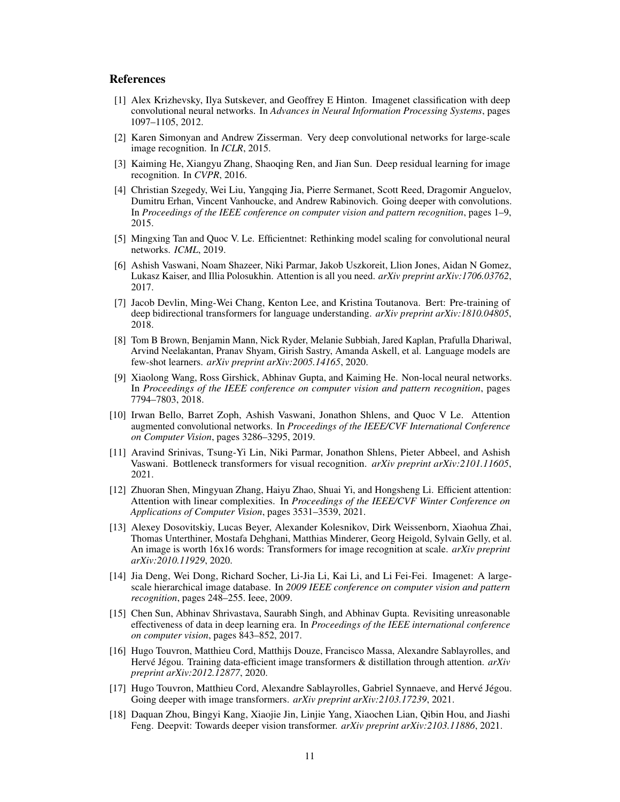## References

- <span id="page-10-0"></span>[1] Alex Krizhevsky, Ilya Sutskever, and Geoffrey E Hinton. Imagenet classification with deep convolutional neural networks. In *Advances in Neural Information Processing Systems*, pages 1097–1105, 2012.
- <span id="page-10-1"></span>[2] Karen Simonyan and Andrew Zisserman. Very deep convolutional networks for large-scale image recognition. In *ICLR*, 2015.
- <span id="page-10-2"></span>[3] Kaiming He, Xiangyu Zhang, Shaoqing Ren, and Jian Sun. Deep residual learning for image recognition. In *CVPR*, 2016.
- <span id="page-10-3"></span>[4] Christian Szegedy, Wei Liu, Yangqing Jia, Pierre Sermanet, Scott Reed, Dragomir Anguelov, Dumitru Erhan, Vincent Vanhoucke, and Andrew Rabinovich. Going deeper with convolutions. In *Proceedings of the IEEE conference on computer vision and pattern recognition*, pages 1–9, 2015.
- <span id="page-10-4"></span>[5] Mingxing Tan and Quoc V. Le. Efficientnet: Rethinking model scaling for convolutional neural networks. *ICML*, 2019.
- <span id="page-10-5"></span>[6] Ashish Vaswani, Noam Shazeer, Niki Parmar, Jakob Uszkoreit, Llion Jones, Aidan N Gomez, Lukasz Kaiser, and Illia Polosukhin. Attention is all you need. *arXiv preprint arXiv:1706.03762*, 2017.
- <span id="page-10-6"></span>[7] Jacob Devlin, Ming-Wei Chang, Kenton Lee, and Kristina Toutanova. Bert: Pre-training of deep bidirectional transformers for language understanding. *arXiv preprint arXiv:1810.04805*, 2018.
- <span id="page-10-7"></span>[8] Tom B Brown, Benjamin Mann, Nick Ryder, Melanie Subbiah, Jared Kaplan, Prafulla Dhariwal, Arvind Neelakantan, Pranav Shyam, Girish Sastry, Amanda Askell, et al. Language models are few-shot learners. *arXiv preprint arXiv:2005.14165*, 2020.
- <span id="page-10-8"></span>[9] Xiaolong Wang, Ross Girshick, Abhinav Gupta, and Kaiming He. Non-local neural networks. In *Proceedings of the IEEE conference on computer vision and pattern recognition*, pages 7794–7803, 2018.
- <span id="page-10-9"></span>[10] Irwan Bello, Barret Zoph, Ashish Vaswani, Jonathon Shlens, and Quoc V Le. Attention augmented convolutional networks. In *Proceedings of the IEEE/CVF International Conference on Computer Vision*, pages 3286–3295, 2019.
- <span id="page-10-10"></span>[11] Aravind Srinivas, Tsung-Yi Lin, Niki Parmar, Jonathon Shlens, Pieter Abbeel, and Ashish Vaswani. Bottleneck transformers for visual recognition. *arXiv preprint arXiv:2101.11605*, 2021.
- <span id="page-10-11"></span>[12] Zhuoran Shen, Mingyuan Zhang, Haiyu Zhao, Shuai Yi, and Hongsheng Li. Efficient attention: Attention with linear complexities. In *Proceedings of the IEEE/CVF Winter Conference on Applications of Computer Vision*, pages 3531–3539, 2021.
- <span id="page-10-12"></span>[13] Alexey Dosovitskiy, Lucas Beyer, Alexander Kolesnikov, Dirk Weissenborn, Xiaohua Zhai, Thomas Unterthiner, Mostafa Dehghani, Matthias Minderer, Georg Heigold, Sylvain Gelly, et al. An image is worth 16x16 words: Transformers for image recognition at scale. *arXiv preprint arXiv:2010.11929*, 2020.
- <span id="page-10-13"></span>[14] Jia Deng, Wei Dong, Richard Socher, Li-Jia Li, Kai Li, and Li Fei-Fei. Imagenet: A largescale hierarchical image database. In *2009 IEEE conference on computer vision and pattern recognition*, pages 248–255. Ieee, 2009.
- <span id="page-10-14"></span>[15] Chen Sun, Abhinav Shrivastava, Saurabh Singh, and Abhinav Gupta. Revisiting unreasonable effectiveness of data in deep learning era. In *Proceedings of the IEEE international conference on computer vision*, pages 843–852, 2017.
- <span id="page-10-15"></span>[16] Hugo Touvron, Matthieu Cord, Matthijs Douze, Francisco Massa, Alexandre Sablayrolles, and Hervé Jégou. Training data-efficient image transformers & distillation through attention. *arXiv preprint arXiv:2012.12877*, 2020.
- <span id="page-10-16"></span>[17] Hugo Touvron, Matthieu Cord, Alexandre Sablayrolles, Gabriel Synnaeve, and Hervé Jégou. Going deeper with image transformers. *arXiv preprint arXiv:2103.17239*, 2021.
- <span id="page-10-17"></span>[18] Daquan Zhou, Bingyi Kang, Xiaojie Jin, Linjie Yang, Xiaochen Lian, Qibin Hou, and Jiashi Feng. Deepvit: Towards deeper vision transformer. *arXiv preprint arXiv:2103.11886*, 2021.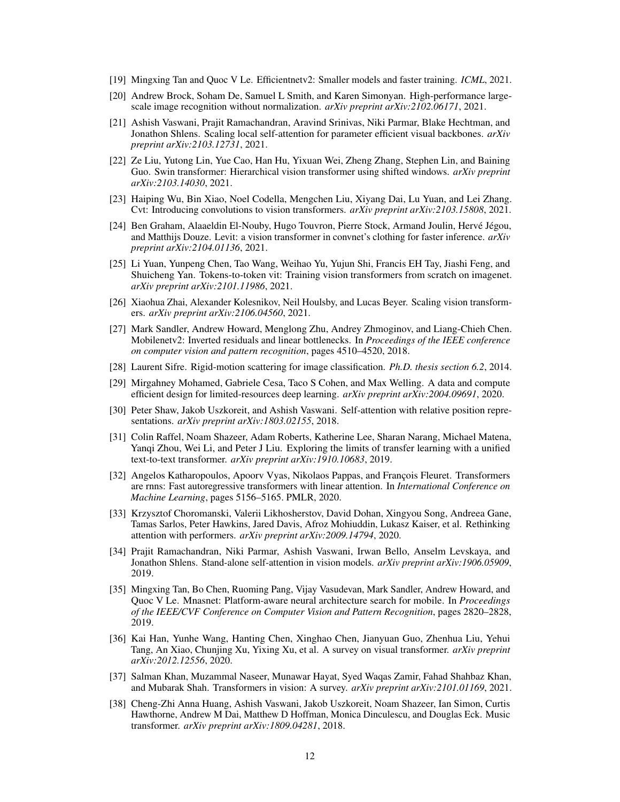- <span id="page-11-0"></span>[19] Mingxing Tan and Quoc V Le. Efficientnetv2: Smaller models and faster training. *ICML*, 2021.
- <span id="page-11-1"></span>[20] Andrew Brock, Soham De, Samuel L Smith, and Karen Simonyan. High-performance largescale image recognition without normalization. *arXiv preprint arXiv:2102.06171*, 2021.
- <span id="page-11-2"></span>[21] Ashish Vaswani, Prajit Ramachandran, Aravind Srinivas, Niki Parmar, Blake Hechtman, and Jonathon Shlens. Scaling local self-attention for parameter efficient visual backbones. *arXiv preprint arXiv:2103.12731*, 2021.
- <span id="page-11-3"></span>[22] Ze Liu, Yutong Lin, Yue Cao, Han Hu, Yixuan Wei, Zheng Zhang, Stephen Lin, and Baining Guo. Swin transformer: Hierarchical vision transformer using shifted windows. *arXiv preprint arXiv:2103.14030*, 2021.
- <span id="page-11-4"></span>[23] Haiping Wu, Bin Xiao, Noel Codella, Mengchen Liu, Xiyang Dai, Lu Yuan, and Lei Zhang. Cvt: Introducing convolutions to vision transformers. *arXiv preprint arXiv:2103.15808*, 2021.
- <span id="page-11-5"></span>[24] Ben Graham, Alaaeldin El-Nouby, Hugo Touvron, Pierre Stock, Armand Joulin, Hervé Jégou, and Matthijs Douze. Levit: a vision transformer in convnet's clothing for faster inference. *arXiv preprint arXiv:2104.01136*, 2021.
- <span id="page-11-6"></span>[25] Li Yuan, Yunpeng Chen, Tao Wang, Weihao Yu, Yujun Shi, Francis EH Tay, Jiashi Feng, and Shuicheng Yan. Tokens-to-token vit: Training vision transformers from scratch on imagenet. *arXiv preprint arXiv:2101.11986*, 2021.
- <span id="page-11-7"></span>[26] Xiaohua Zhai, Alexander Kolesnikov, Neil Houlsby, and Lucas Beyer. Scaling vision transformers. *arXiv preprint arXiv:2106.04560*, 2021.
- <span id="page-11-8"></span>[27] Mark Sandler, Andrew Howard, Menglong Zhu, Andrey Zhmoginov, and Liang-Chieh Chen. Mobilenetv2: Inverted residuals and linear bottlenecks. In *Proceedings of the IEEE conference on computer vision and pattern recognition*, pages 4510–4520, 2018.
- <span id="page-11-9"></span>[28] Laurent Sifre. Rigid-motion scattering for image classification. *Ph.D. thesis section 6.2*, 2014.
- <span id="page-11-10"></span>[29] Mirgahney Mohamed, Gabriele Cesa, Taco S Cohen, and Max Welling. A data and compute efficient design for limited-resources deep learning. *arXiv preprint arXiv:2004.09691*, 2020.
- <span id="page-11-11"></span>[30] Peter Shaw, Jakob Uszkoreit, and Ashish Vaswani. Self-attention with relative position representations. *arXiv preprint arXiv:1803.02155*, 2018.
- <span id="page-11-12"></span>[31] Colin Raffel, Noam Shazeer, Adam Roberts, Katherine Lee, Sharan Narang, Michael Matena, Yanqi Zhou, Wei Li, and Peter J Liu. Exploring the limits of transfer learning with a unified text-to-text transformer. *arXiv preprint arXiv:1910.10683*, 2019.
- <span id="page-11-13"></span>[32] Angelos Katharopoulos, Apoorv Vyas, Nikolaos Pappas, and François Fleuret. Transformers are rnns: Fast autoregressive transformers with linear attention. In *International Conference on Machine Learning*, pages 5156–5165. PMLR, 2020.
- <span id="page-11-14"></span>[33] Krzysztof Choromanski, Valerii Likhosherstov, David Dohan, Xingyou Song, Andreea Gane, Tamas Sarlos, Peter Hawkins, Jared Davis, Afroz Mohiuddin, Lukasz Kaiser, et al. Rethinking attention with performers. *arXiv preprint arXiv:2009.14794*, 2020.
- <span id="page-11-15"></span>[34] Prajit Ramachandran, Niki Parmar, Ashish Vaswani, Irwan Bello, Anselm Levskaya, and Jonathon Shlens. Stand-alone self-attention in vision models. *arXiv preprint arXiv:1906.05909*, 2019.
- <span id="page-11-16"></span>[35] Mingxing Tan, Bo Chen, Ruoming Pang, Vijay Vasudevan, Mark Sandler, Andrew Howard, and Quoc V Le. Mnasnet: Platform-aware neural architecture search for mobile. In *Proceedings of the IEEE/CVF Conference on Computer Vision and Pattern Recognition*, pages 2820–2828, 2019.
- <span id="page-11-17"></span>[36] Kai Han, Yunhe Wang, Hanting Chen, Xinghao Chen, Jianyuan Guo, Zhenhua Liu, Yehui Tang, An Xiao, Chunjing Xu, Yixing Xu, et al. A survey on visual transformer. *arXiv preprint arXiv:2012.12556*, 2020.
- <span id="page-11-18"></span>[37] Salman Khan, Muzammal Naseer, Munawar Hayat, Syed Waqas Zamir, Fahad Shahbaz Khan, and Mubarak Shah. Transformers in vision: A survey. *arXiv preprint arXiv:2101.01169*, 2021.
- <span id="page-11-19"></span>[38] Cheng-Zhi Anna Huang, Ashish Vaswani, Jakob Uszkoreit, Noam Shazeer, Ian Simon, Curtis Hawthorne, Andrew M Dai, Matthew D Hoffman, Monica Dinculescu, and Douglas Eck. Music transformer. *arXiv preprint arXiv:1809.04281*, 2018.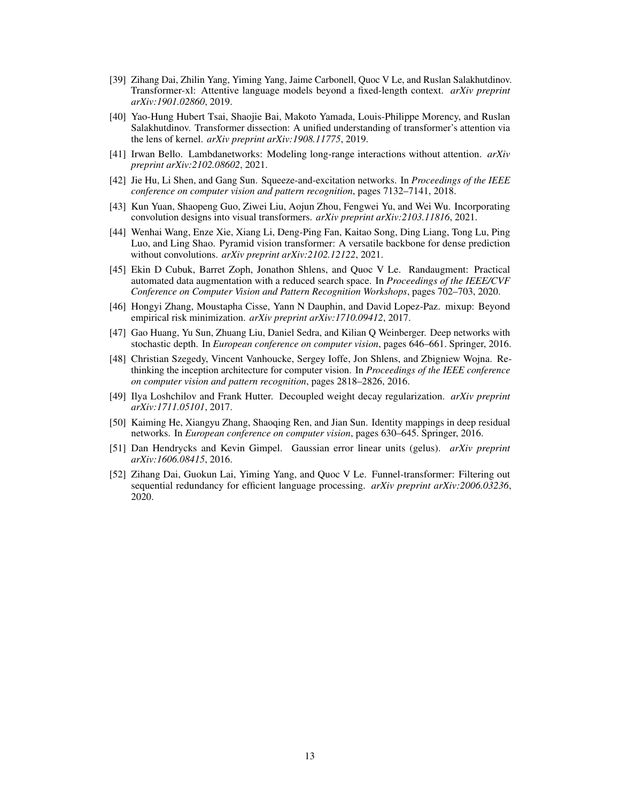- <span id="page-12-0"></span>[39] Zihang Dai, Zhilin Yang, Yiming Yang, Jaime Carbonell, Quoc V Le, and Ruslan Salakhutdinov. Transformer-xl: Attentive language models beyond a fixed-length context. *arXiv preprint arXiv:1901.02860*, 2019.
- <span id="page-12-1"></span>[40] Yao-Hung Hubert Tsai, Shaojie Bai, Makoto Yamada, Louis-Philippe Morency, and Ruslan Salakhutdinov. Transformer dissection: A unified understanding of transformer's attention via the lens of kernel. *arXiv preprint arXiv:1908.11775*, 2019.
- <span id="page-12-2"></span>[41] Irwan Bello. Lambdanetworks: Modeling long-range interactions without attention. *arXiv preprint arXiv:2102.08602*, 2021.
- <span id="page-12-3"></span>[42] Jie Hu, Li Shen, and Gang Sun. Squeeze-and-excitation networks. In *Proceedings of the IEEE conference on computer vision and pattern recognition*, pages 7132–7141, 2018.
- <span id="page-12-4"></span>[43] Kun Yuan, Shaopeng Guo, Ziwei Liu, Aojun Zhou, Fengwei Yu, and Wei Wu. Incorporating convolution designs into visual transformers. *arXiv preprint arXiv:2103.11816*, 2021.
- <span id="page-12-5"></span>[44] Wenhai Wang, Enze Xie, Xiang Li, Deng-Ping Fan, Kaitao Song, Ding Liang, Tong Lu, Ping Luo, and Ling Shao. Pyramid vision transformer: A versatile backbone for dense prediction without convolutions. *arXiv preprint arXiv:2102.12122*, 2021.
- <span id="page-12-6"></span>[45] Ekin D Cubuk, Barret Zoph, Jonathon Shlens, and Quoc V Le. Randaugment: Practical automated data augmentation with a reduced search space. In *Proceedings of the IEEE/CVF Conference on Computer Vision and Pattern Recognition Workshops*, pages 702–703, 2020.
- <span id="page-12-7"></span>[46] Hongyi Zhang, Moustapha Cisse, Yann N Dauphin, and David Lopez-Paz. mixup: Beyond empirical risk minimization. *arXiv preprint arXiv:1710.09412*, 2017.
- <span id="page-12-8"></span>[47] Gao Huang, Yu Sun, Zhuang Liu, Daniel Sedra, and Kilian Q Weinberger. Deep networks with stochastic depth. In *European conference on computer vision*, pages 646–661. Springer, 2016.
- <span id="page-12-9"></span>[48] Christian Szegedy, Vincent Vanhoucke, Sergey Ioffe, Jon Shlens, and Zbigniew Wojna. Rethinking the inception architecture for computer vision. In *Proceedings of the IEEE conference on computer vision and pattern recognition*, pages 2818–2826, 2016.
- <span id="page-12-10"></span>[49] Ilya Loshchilov and Frank Hutter. Decoupled weight decay regularization. *arXiv preprint arXiv:1711.05101*, 2017.
- <span id="page-12-11"></span>[50] Kaiming He, Xiangyu Zhang, Shaoqing Ren, and Jian Sun. Identity mappings in deep residual networks. In *European conference on computer vision*, pages 630–645. Springer, 2016.
- <span id="page-12-12"></span>[51] Dan Hendrycks and Kevin Gimpel. Gaussian error linear units (gelus). *arXiv preprint arXiv:1606.08415*, 2016.
- <span id="page-12-13"></span>[52] Zihang Dai, Guokun Lai, Yiming Yang, and Quoc V Le. Funnel-transformer: Filtering out sequential redundancy for efficient language processing. *arXiv preprint arXiv:2006.03236*, 2020.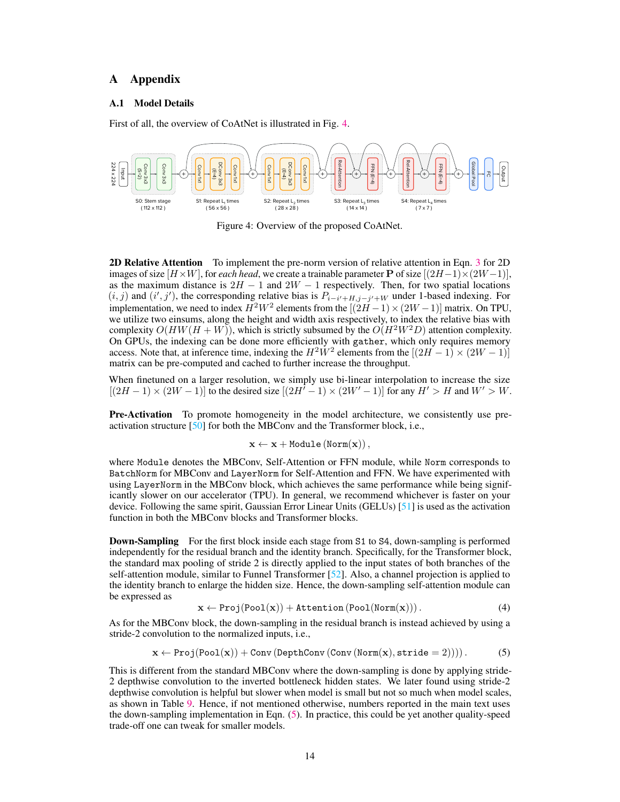## A Appendix

#### <span id="page-13-0"></span>A.1 Model Details

First of all, the overview of CoAtNet is illustrated in Fig. [4.](#page-13-1)

<span id="page-13-1"></span>

Figure 4: Overview of the proposed CoAtNet.

2D Relative Attention To implement the pre-norm version of relative attention in Eqn. [3](#page-2-3) for 2D images of size  $[H \times W]$ , for *each head*, we create a trainable parameter **P** of size  $[(2H-1) \times (2W-1)]$ , as the maximum distance is  $2H - 1$  and  $2W - 1$  respectively. Then, for two spatial locations  $(i, j)$  and  $(i', j')$ , the corresponding relative bias is  $P_{i-i'+H, j-j'+W}$  under 1-based indexing. For implementation, we need to index  $H^2W^2$  elements from the  $[(2H-1)\times(2W-1)]$  matrix. On TPU, we utilize two einsums, along the height and width axis respectively, to index the relative bias with complexity  $O(HW(H + W))$ , which is strictly subsumed by the  $O(H^2W^2D)$  attention complexity. On GPUs, the indexing can be done more efficiently with gather, which only requires memory access. Note that, at inference time, indexing the  $H^2W^2$  elements from the  $[(2H-1) \times (2W-1)]$ matrix can be pre-computed and cached to further increase the throughput.

When finetuned on a larger resolution, we simply use bi-linear interpolation to increase the size  $[(2H-1)\times(2W-1)]$  to the desired size  $[(2H^T-1)\times(2W^T-1)]$  for any  $H^{\prime}>H$  and  $W^{\prime}>W$ .

**Pre-Activation** To promote homogeneity in the model architecture, we consistently use preactivation structure [\[50\]](#page-12-11) for both the MBConv and the Transformer block, i.e.,

$$
\mathbf{x} \leftarrow \mathbf{x} + \texttt{Module}(\texttt{Norm}(\mathbf{x}))\,,
$$

where Module denotes the MBConv, Self-Attention or FFN module, while Norm corresponds to BatchNorm for MBConv and LayerNorm for Self-Attention and FFN. We have experimented with using LayerNorm in the MBConv block, which achieves the same performance while being significantly slower on our accelerator (TPU). In general, we recommend whichever is faster on your device. Following the same spirit, Gaussian Error Linear Units (GELUs) [\[51\]](#page-12-12) is used as the activation function in both the MBConv blocks and Transformer blocks.

**Down-Sampling** For the first block inside each stage from S1 to S4, down-sampling is performed independently for the residual branch and the identity branch. Specifically, for the Transformer block, the standard max pooling of stride 2 is directly applied to the input states of both branches of the self-attention module, similar to Funnel Transformer [\[52\]](#page-12-13). Also, a channel projection is applied to the identity branch to enlarge the hidden size. Hence, the down-sampling self-attention module can be expressed as

<span id="page-13-2"></span>
$$
\mathbf{x} \leftarrow \text{Proj}(\text{Pool}(\mathbf{x})) + \text{Attention}(\text{Pool}(\text{Norm}(\mathbf{x}))). \tag{4}
$$

As for the MBConv block, the down-sampling in the residual branch is instead achieved by using a stride-2 convolution to the normalized inputs, i.e.,

$$
x \leftarrow \text{Proj}(\text{Pool}(x)) + \text{Conv}(\text{DepthConv}(\text{Conv}(\text{Norm}(x), \text{stride} = 2))))\,. \tag{5}
$$

This is different from the standard MBConv where the down-sampling is done by applying stride-2 depthwise convolution to the inverted bottleneck hidden states. We later found using stride-2 depthwise convolution is helpful but slower when model is small but not so much when model scales, as shown in Table [9.](#page-14-1) Hence, if not mentioned otherwise, numbers reported in the main text uses the down-sampling implementation in Eqn. [\(5\)](#page-13-2). In practice, this could be yet another quality-speed trade-off one can tweak for smaller models.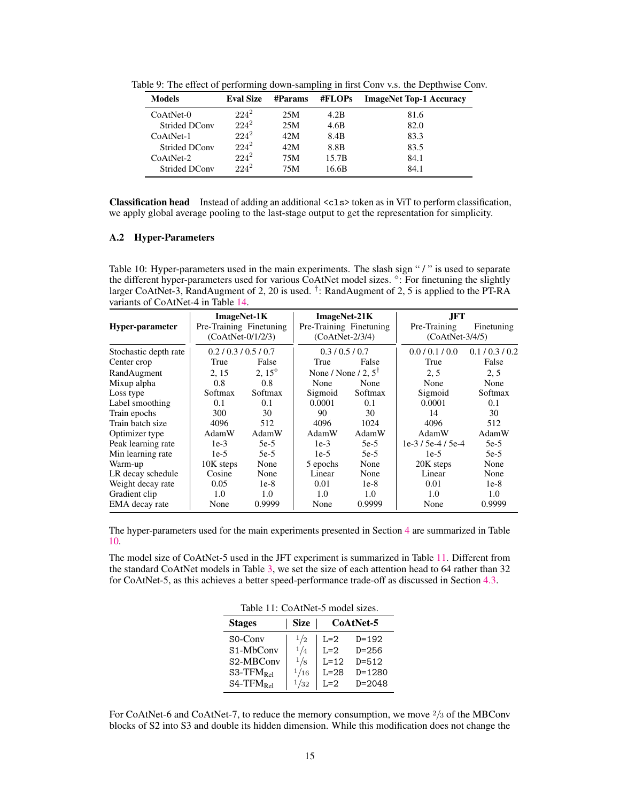| <b>Eval Size</b> | <b>#Params</b> | #FLOPs           | <b>ImageNet Top-1 Accuracy</b> |
|------------------|----------------|------------------|--------------------------------|
| $224^2$          | 25M            | 4.2B             | 81.6                           |
| $224^2$          | 25M            | 4.6B             | 82.0                           |
| $224^2$          | 42M            | 8.4 <sub>B</sub> | 83.3                           |
| $224^2$          | 42M            | 8.8B             | 83.5                           |
| $224^2$          | 75M            | 15.7B            | 84.1                           |
| $224^2$          | 75M            | 16.6B            | 84.1                           |
|                  |                |                  |                                |

<span id="page-14-1"></span>Table 9: The effect of performing down-sampling in first Conv v.s. the Depthwise Conv.

Classification head Instead of adding an additional <cls> token as in ViT to perform classification, we apply global average pooling to the last-stage output to get the representation for simplicity.

### <span id="page-14-0"></span>A.2 Hyper-Parameters

<span id="page-14-2"></span>Table 10: Hyper-parameters used in the main experiments. The slash sign " / " is used to separate the different hyper-parameters used for various CoAtNet model sizes. <sup>8</sup>: For finetuning the slightly larger CoAtNet-3, RandAugment of 2, 20 is used. <sup>†</sup>: RandAugment of 2, 5 is applied to the PT-RA variants of CoAtNet-4 in Table [14.](#page-17-0)

|                       | <b>ImageNet-1K</b>      |                 | ImageNet-21K                   |         | JFT.              |             |
|-----------------------|-------------------------|-----------------|--------------------------------|---------|-------------------|-------------|
| Hyper-parameter       | Pre-Training Finetuning |                 | Pre-Training Finetuning        |         | Pre-Training      | Finetuning  |
|                       | $(CoAtNet-0/1/2/3)$     |                 | $(CoAtNet-2/3/4)$              |         | $(CoAtNet-3/4/5)$ |             |
| Stochastic depth rate | 0.2 / 0.3 / 0.5 / 0.7   |                 | 0.3/0.5/0.7                    |         | 0.0 / 0.1 / 0.0   | 0.1/0.3/0.2 |
| Center crop           | True                    | False           | True                           | False   | True              | False       |
| RandAugment           | 2, 15                   | 2.15 $^{\circ}$ | None / None / 2, $5^{\dagger}$ |         | 2, 5              | 2, 5        |
| Mixup alpha           | 0.8                     | 0.8             | None                           | None    | None              | None        |
| Loss type             | Softmax                 | Softmax         | Sigmoid                        | Softmax | Sigmoid           | Softmax     |
| Label smoothing       | 0.1                     | 0.1             | 0.0001                         | 0.1     | 0.0001            | 0.1         |
| Train epochs          | 300                     | 30              | 90                             | 30      | 14                | 30          |
| Train batch size      | 4096                    | 512             | 4096                           | 1024    | 4096              | 512         |
| Optimizer type        | AdamW                   | AdamW           | AdamW                          | AdamW   | AdamW             | AdamW       |
| Peak learning rate    | $1e-3$                  | $5e-5$          | $1e-3$                         | 5e-5    | $1e-3/5e-4/5e-4$  | $5e-5$      |
| Min learning rate     | $1e-5$                  | $5e-5$          | $1e-5$                         | $5e-5$  | $1e-5$            | $5e-5$      |
| Warm-up               | 10K steps               | None            | 5 epochs                       | None    | 20K steps         | None        |
| LR decay schedule     | Cosine                  | None            | Linear                         | None    | Linear            | None        |
| Weight decay rate     | 0.05                    | $1e-8$          | 0.01                           | $1e-8$  | 0.01              | $1e-8$      |
| Gradient clip         | 1.0                     | 1.0             | 1.0                            | 1.0     | $1.0^{\circ}$     | 1.0         |
| EMA decay rate        | None                    | 0.9999          | None                           | 0.9999  | None              | 0.9999      |

The hyper-parameters used for the main experiments presented in Section [4](#page-5-0) are summarized in Table [10.](#page-14-2)

<span id="page-14-3"></span>The model size of CoAtNet-5 used in the JFT experiment is summarized in Table [11.](#page-14-3) Different from the standard CoAtNet models in Table [3,](#page-6-0) we set the size of each attention head to 64 rather than 32 for CoAtNet-5, as this achieves a better speed-performance trade-off as discussed in Section [4.3.](#page-8-3)

| Table 11: CoAtNet-5 model sizes. |  |
|----------------------------------|--|
|----------------------------------|--|

| <b>Stages</b>                       | <b>Size</b> | CoAtNet-5 |            |  |
|-------------------------------------|-------------|-----------|------------|--|
| $SO-Conv$                           | 1/2         | $L=2$     | $D = 192$  |  |
| S <sub>1</sub> -M <sub>b</sub> Conv | 1/4         | $L=2$     | $D = 256$  |  |
| S <sub>2</sub> -MBC <sub>onv</sub>  | 1/8         | $L=12$    | $D = 512$  |  |
| $S3-TFM_{Rel}$                      | 1/16        | $L=28$    | $D = 1280$ |  |
| $S4-TFM_{Rel}$                      | 1/32        | $I = 2$   | $D = 2048$ |  |

For CoAtNet-6 and CoAtNet-7, to reduce the memory consumption, we move  $\frac{2}{3}$  of the MBConv blocks of S2 into S3 and double its hidden dimension. While this modification does not change the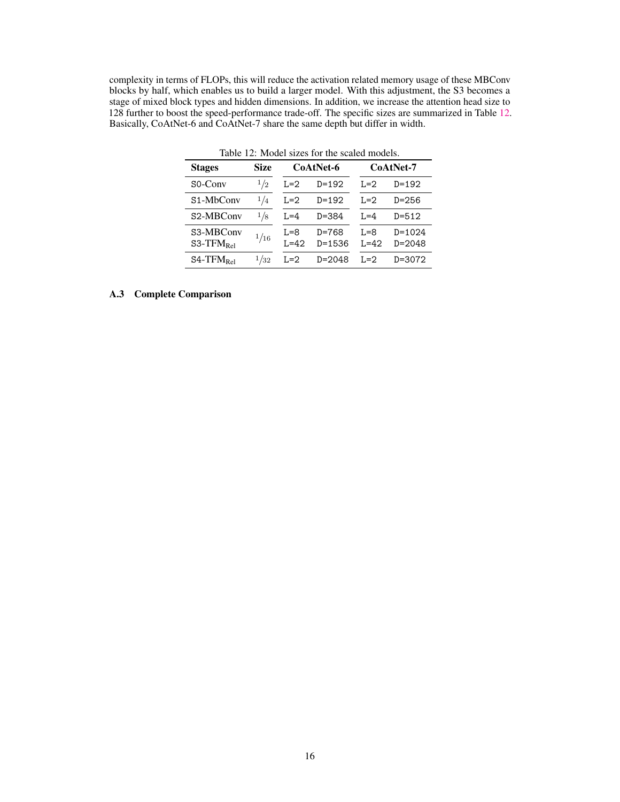<span id="page-15-1"></span>complexity in terms of FLOPs, this will reduce the activation related memory usage of these MBConv blocks by half, which enables us to build a larger model. With this adjustment, the S3 becomes a stage of mixed block types and hidden dimensions. In addition, we increase the attention head size to 128 further to boost the speed-performance trade-off. The specific sizes are summarized in Table [12.](#page-15-1) Basically, CoAtNet-6 and CoAtNet-7 share the same depth but differ in width.

| <b>Stages</b>               | Size | CoAtNet-6         |                         | CoAtNet-7         |                          |  |
|-----------------------------|------|-------------------|-------------------------|-------------------|--------------------------|--|
| $SO-Conv$                   | 1/2  | L=2               | $D = 192$               | $I = 2$           | $D = 192$                |  |
| S <sub>1</sub> -MbConv      | 1/4  | $L=2$             | $D = 192$               | $I = 2$           | $D = 256$                |  |
| S2-MBConv                   | 1/8  | $L = 4$           | $D = 384$               | $L=4$             | $D = 512$                |  |
| S3-MBConv<br>$S3-TFM_{Rel}$ | 1/16 | $L=8$<br>$I = 42$ | $D = 768$<br>$D = 1536$ | $R = 5$<br>$L=42$ | $D = 1024$<br>$D = 2048$ |  |
| $S4-TFM_{Rel}$              | 1/32 | $L=2$             | $D = 2048$              | $L=2$             | D=3072                   |  |

Table 12: Model sizes for the scaled models.

## <span id="page-15-0"></span>A.3 Complete Comparison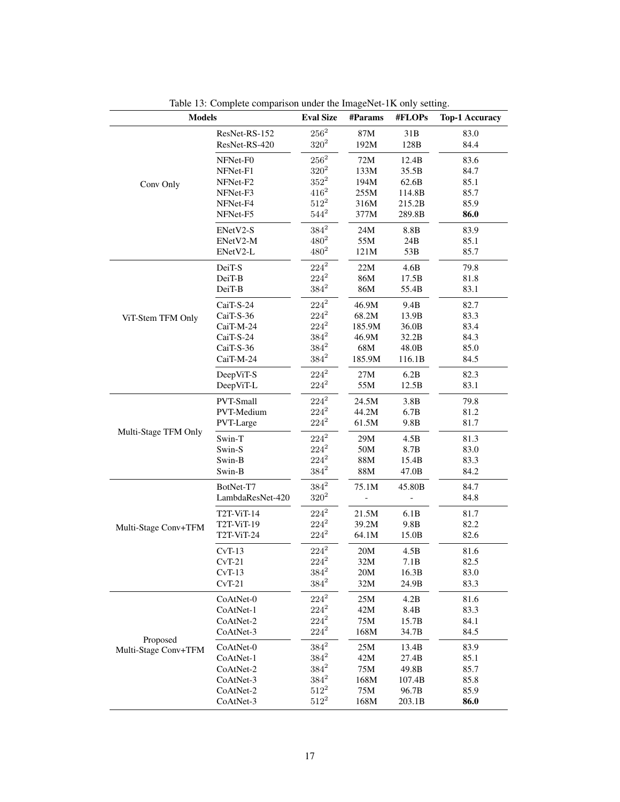<span id="page-16-0"></span>

| <b>Models</b>                    |                  | <b>Eval Size</b> | #Params        | #FLOPs | <b>Top-1 Accuracy</b> |
|----------------------------------|------------------|------------------|----------------|--------|-----------------------|
|                                  | ResNet-RS-152    | $256^2$          | 87M            | 31B    | 83.0                  |
|                                  | ResNet-RS-420    | $320^{2}$        | 192M           | 128B   | 84.4                  |
|                                  | NFNet-F0         | $256^2$          | 72M            | 12.4B  | 83.6                  |
|                                  | NFNet-F1         | $320^{2}$        | 133M           | 35.5B  | 84.7                  |
| Conv Only                        | NFNet-F2         | $352^2$          | 194M           | 62.6B  | 85.1                  |
|                                  | NFNet-F3         | $416^2$          | 255M           | 114.8B | 85.7                  |
|                                  | NFNet-F4         | $512^2$          | 316M           | 215.2B | 85.9                  |
|                                  | NFNet-F5         | $544^2$          | 377M           | 289.8B | 86.0                  |
|                                  | ENetV2-S         | $384^2$          | 24M            | 8.8B   | 83.9                  |
|                                  | ENetV2-M         | $480^2$          | 55M            | 24B    | 85.1                  |
|                                  | ENetV2-L         | $480^{2}$        | 121M           | 53B    | 85.7                  |
|                                  | DeiT-S           | $224^2$          | 22M            | 4.6B   | 79.8                  |
|                                  | DeiT-B           | $224^2$          | 86M            | 17.5B  | 81.8                  |
|                                  | DeiT-B           | $384^2$          | 86M            | 55.4B  | 83.1                  |
|                                  | CaiT-S-24        | $224^2$          | 46.9M          | 9.4B   | 82.7                  |
| ViT-Stem TFM Only                | CaiT-S-36        | $224^2$          | 68.2M          | 13.9B  | 83.3                  |
|                                  | CaiT-M-24        | $224^2$          | 185.9M         | 36.0B  | 83.4                  |
|                                  | CaiT-S-24        | $384^2$          | 46.9M          | 32.2B  | 84.3                  |
|                                  | CaiT-S-36        | $384^2$          | 68M            | 48.0B  | 85.0                  |
|                                  | CaiT-M-24        | $384^2$          | 185.9M         | 116.1B | 84.5                  |
|                                  | DeepViT-S        | $224^2$          | 27M            | 6.2B   | 82.3                  |
|                                  | DeepViT-L        | $224^2$          | 55M            | 12.5B  | 83.1                  |
|                                  | PVT-Small        | $224^2$          | 24.5M          | 3.8B   | 79.8                  |
|                                  | PVT-Medium       | $224^2$          | 44.2M          | 6.7B   | 81.2                  |
| Multi-Stage TFM Only             | PVT-Large        | $224^2$          | 61.5M          | 9.8B   | 81.7                  |
|                                  | Swin-T           | $224^2$          | 29M            | 4.5B   | 81.3                  |
|                                  | Swin-S           | $224^2$          | 50M            | 8.7B   | 83.0                  |
|                                  | Swin-B           | $224^2$          | $88\mathrm{M}$ | 15.4B  | 83.3                  |
|                                  | Swin-B           | $384^2$          | 88M            | 47.0B  | 84.2                  |
| Multi-Stage Conv+TFM             | BotNet-T7        | $384^2$          | 75.1M          | 45.80B | 84.7                  |
|                                  | LambdaResNet-420 | $320^{2}$        |                |        | 84.8                  |
|                                  | T2T-ViT-14       | $224^2$          | 21.5M          | 6.1B   | 81.7                  |
|                                  | T2T-ViT-19       | $224^2$          | 39.2M          | 9.8B   | 82.2                  |
|                                  | T2T-ViT-24       | $224^2$          | 64.1M          | 15.0B  | 82.6                  |
|                                  | $CvT-13$         | $224^2$          | 20M            | 4.5B   | 81.6                  |
|                                  | $CvT-21$         | $224^2\,$        | 32M            | 7.1B   | 82.5                  |
|                                  | $CvT-13$         | $384^2$          | 20M            | 16.3B  | 83.0                  |
|                                  | $CvT-21$         | $384^2$          | 32M            | 24.9B  | 83.3                  |
| Proposed<br>Multi-Stage Conv+TFM | CoAtNet-0        | $224^2\,$        | 25M            | 4.2B   | 81.6                  |
|                                  | CoAtNet-1        | $224^2\,$        | 42M            | 8.4B   | 83.3                  |
|                                  | CoAtNet-2        | $224^2$          | 75M            | 15.7B  | 84.1                  |
|                                  | CoAtNet-3        | $224^2$          | 168M           | 34.7B  | 84.5                  |
|                                  | CoAtNet-0        | $384^2\,$        | 25M            | 13.4B  | 83.9                  |
|                                  | CoAtNet-1        | $384^2$          | 42M            | 27.4B  | 85.1                  |
|                                  | CoAtNet-2        | $384^2$          | 75M            | 49.8B  | 85.7                  |
|                                  | CoAtNet-3        | $384^2$          | 168M           | 107.4B | 85.8                  |
|                                  | CoAtNet-2        | $512^2$          | 75M            | 96.7B  | 85.9                  |
|                                  | CoAtNet-3        | $512^2$          | 168M           | 203.1B | 86.0                  |

Table 13: Complete comparison under the ImageNet-1K only setting.